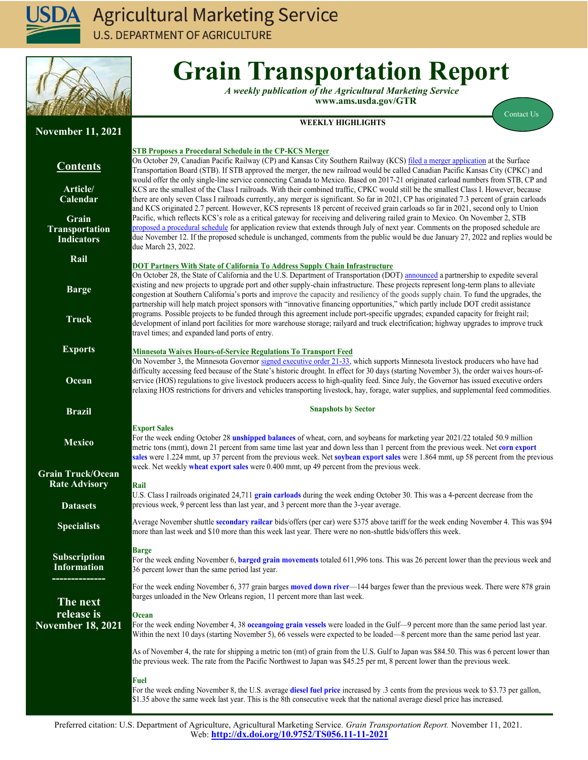

**U.S. DEPARTMENT OF AGRICULTURE** 



# **Grain Transportation Report**

*A weekly publication of the Agricultural Marketing Service*  **www.ams.usda.gov/GTR**

**WEEKLY HIGHLIGHTS**

[Contact Us](mailto:Surajudeen.Olowolayemo@ams.usda.gov) 

| <b>November 11, 2021</b>                   |                                                                                                                                                                                                                                                                              |
|--------------------------------------------|------------------------------------------------------------------------------------------------------------------------------------------------------------------------------------------------------------------------------------------------------------------------------|
|                                            | <b>STB Proposes a Procedural Schedule in the CP-KCS Merger</b>                                                                                                                                                                                                               |
| <b>Contents</b>                            | On October 29, Canadian Pacific Railway (CP) and Kansas City Southern Railway (KCS) filed a merger application at the Surface<br>Transportation Board (STB). If STB approved the merger, the new railroad would be called Canadian Pacific Kansas City (CPKC) and            |
| Article/                                   | would offer the only single-line service connecting Canada to Mexico. Based on 2017-21 originated carload numbers from STB, CP and<br>KCS are the smallest of the Class I railroads. With their combined traffic, CPKC would still be the smallest Class I. However, because |
| Calendar                                   | there are only seven Class I railroads currently, any merger is significant. So far in 2021, CP has originated 7.3 percent of grain carloads                                                                                                                                 |
|                                            | and KCS originated 2.7 percent. However, KCS represents 18 percent of received grain carloads so far in 2021, second only to Union                                                                                                                                           |
| Grain                                      | Pacific, which reflects KCS's role as a critical gateway for receiving and delivering railed grain to Mexico. On November 2, STB<br>proposed a procedural schedule for application review that extends through July of next year. Comments on the proposed schedule are      |
| <b>Transportation</b><br><b>Indicators</b> | due November 12. If the proposed schedule is unchanged, comments from the public would be due January 27, 2022 and replies would be                                                                                                                                          |
|                                            | due March 23, 2022.                                                                                                                                                                                                                                                          |
| Rail                                       |                                                                                                                                                                                                                                                                              |
|                                            | <b>DOT Partners With State of California To Address Supply Chain Infrastructure</b><br>On October 28, the State of California and the U.S. Department of Transportation (DOT) announced a partnership to expedite several                                                    |
| <b>Barge</b>                               | existing and new projects to upgrade port and other supply-chain infrastructure. These projects represent long-term plans to alleviate                                                                                                                                       |
|                                            | congestion at Southern California's ports and improve the capacity and resiliency of the goods supply chain. To fund the upgrades, the                                                                                                                                       |
|                                            | partnership will help match project sponsors with "innovative financing opportunities," which partly include DOT credit assistance<br>programs. Possible projects to be funded through this agreement include port-specific upgrades; expanded capacity for freight rail;    |
| <b>Truck</b>                               | development of inland port facilities for more warehouse storage; railyard and truck electrification; highway upgrades to improve truck                                                                                                                                      |
|                                            | travel times; and expanded land ports of entry.                                                                                                                                                                                                                              |
| <b>Exports</b>                             | <b>Minnesota Waives Hours-of-Service Regulations To Transport Feed</b>                                                                                                                                                                                                       |
|                                            | On November 3, the Minnesota Governor signed executive order 21-33, which supports Minnesota livestock producers who have had                                                                                                                                                |
|                                            | difficulty accessing feed because of the State's historic drought. In effect for 30 days (starting November 3), the order waives hours-of-                                                                                                                                   |
| Ocean                                      | service (HOS) regulations to give livestock producers access to high-quality feed. Since July, the Governor has issued executive orders                                                                                                                                      |
|                                            | relaxing HOS restrictions for drivers and vehicles transporting livestock, hay, forage, water supplies, and supplemental feed commodities.                                                                                                                                   |
| <b>Brazil</b>                              | <b>Snapshots by Sector</b>                                                                                                                                                                                                                                                   |
|                                            | <b>Export Sales</b>                                                                                                                                                                                                                                                          |
| <b>Mexico</b>                              | For the week ending October 28 unshipped balances of wheat, corn, and soybeans for marketing year 2021/22 totaled 50.9 million                                                                                                                                               |
|                                            | metric tons (mmt), down 21 percent from same time last year and down less than 1 percent from the previous week. Net corn export                                                                                                                                             |
|                                            | sales were 1.224 mmt, up 37 percent from the previous week. Net soybean export sales were 1.864 mmt, up 58 percent from the previous<br>week. Net weekly wheat export sales were 0.400 mmt, up 49 percent from the previous week.                                            |
| <b>Grain Truck/Ocean</b>                   |                                                                                                                                                                                                                                                                              |
| <b>Rate Advisory</b>                       | Rail                                                                                                                                                                                                                                                                         |
| <b>Datasets</b>                            | U.S. Class I railroads originated 24,711 grain carloads during the week ending October 30. This was a 4-percent decrease from the<br>previous week, 9 percent less than last year, and 3 percent more than the 3-year average.                                               |
|                                            |                                                                                                                                                                                                                                                                              |
| <b>Specialists</b>                         | Average November shuttle secondary railcar bids/offers (per car) were \$375 above tariff for the week ending November 4. This was \$94                                                                                                                                       |
|                                            | more than last week and \$10 more than this week last year. There were no non-shuttle bids/offers this week.                                                                                                                                                                 |
|                                            | <b>Barge</b>                                                                                                                                                                                                                                                                 |
| <b>Subscription</b><br><b>Information</b>  | For the week ending November 6, barged grain movements totaled 611,996 tons. This was 26 percent lower than the previous week and                                                                                                                                            |
|                                            | 36 percent lower than the same period last year.                                                                                                                                                                                                                             |
|                                            | For the week ending November 6, 377 grain barges moved down river—144 barges fewer than the previous week. There were 878 grain                                                                                                                                              |
| The next                                   | barges unloaded in the New Orleans region, 11 percent more than last week.                                                                                                                                                                                                   |
| release is                                 | Ocean                                                                                                                                                                                                                                                                        |
| <b>November 18, 2021</b>                   | For the week ending November 4, 38 oceangoing grain vessels were loaded in the Gulf—9 percent more than the same period last year.                                                                                                                                           |
|                                            | Within the next 10 days (starting November 5), 66 vessels were expected to be loaded—8 percent more than the same period last year.                                                                                                                                          |
|                                            | As of November 4, the rate for shipping a metric ton (mt) of grain from the U.S. Gulf to Japan was \$84.50. This was 6 percent lower than                                                                                                                                    |
|                                            | the previous week. The rate from the Pacific Northwest to Japan was \$45.25 per mt, 8 percent lower than the previous week.                                                                                                                                                  |
|                                            | <b>Fuel</b>                                                                                                                                                                                                                                                                  |
|                                            | For the week ending November 8, the U.S. average diesel fuel price increased by .3 cents from the previous week to \$3.73 per gallon,                                                                                                                                        |
|                                            | \$1.35 above the same week last year. This is the 8th consecutive week that the national average diesel price has increased.                                                                                                                                                 |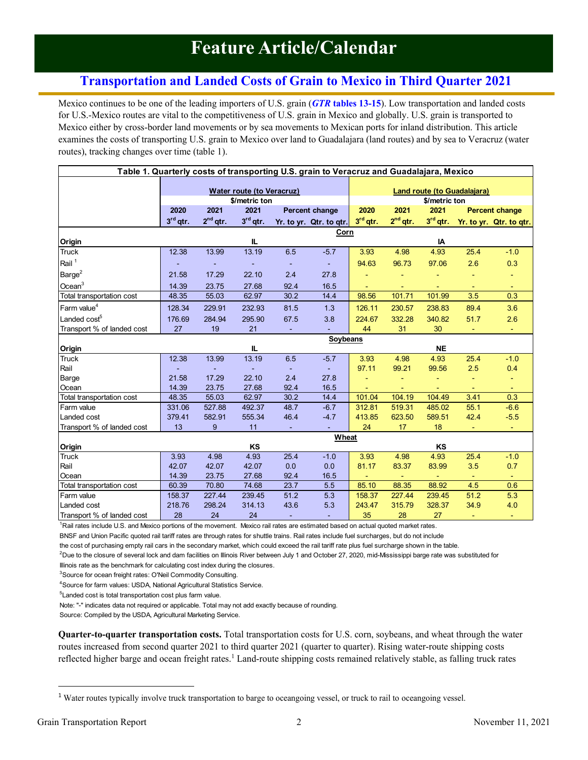# **Feature Article/Calendar**

# <span id="page-1-0"></span>**Transportation and Landed Costs of Grain to Mexico in Third Quarter 2021**

Mexico continues to be one of the leading importers of U.S. grain (*GTR* **[tables](#page-14-1) 13-15**). Low transportation and landed costs for U.S.-Mexico routes are vital to the competitiveness of U.S. grain in Mexico and globally. U.S. grain is transported to Mexico either by cross-border land movements or by sea movements to Mexican ports for inland distribution. This article examines the costs of transporting U.S. grain to Mexico over land to Guadalajara (land routes) and by sea to Veracruz (water routes), tracking changes over time (table 1).

| Table 1. Quarterly costs of transporting U.S. grain to Veracruz and Guadalajara, Mexico |            |               |                                                   |                |                              |            |                |                |                             |                         |
|-----------------------------------------------------------------------------------------|------------|---------------|---------------------------------------------------|----------------|------------------------------|------------|----------------|----------------|-----------------------------|-------------------------|
|                                                                                         |            |               |                                                   |                |                              |            |                |                |                             |                         |
|                                                                                         |            |               | <b>Water route (to Veracruz)</b><br>\$/metric ton |                |                              |            |                | \$/metric ton  | Land route (to Guadalajara) |                         |
|                                                                                         | 2020       | 2021          | 2021                                              |                | Percent change               | 2020       | 2021           | 2021           |                             | <b>Percent change</b>   |
|                                                                                         | $3rd$ qtr. | $2^{nd}$ qtr. | $3rd$ qtr.                                        |                | Yr. to yr. Qtr. to qtr.      | $3rd$ qtr. | $2nd$ qtr.     | $3rd$ qtr.     |                             | Yr. to yr. Qtr. to qtr. |
|                                                                                         |            |               |                                                   |                | Corn                         |            |                |                |                             |                         |
| Origin                                                                                  |            |               | IL.                                               |                |                              |            |                | IA             |                             |                         |
| Truck                                                                                   | 12.38      | 13.99         | 13.19                                             | 6.5            | $-5.7$                       | 3.93       | 4.98           | 4.93           | 25.4                        | $-1.0$                  |
| Rail $^1$                                                                               |            |               |                                                   | $\blacksquare$ | $\blacksquare$               | 94.63      | 96.73          | 97.06          | 2.6                         | 0.3                     |
| Barge <sup>2</sup>                                                                      | 21.58      | 17.29         | 22.10                                             | 2.4            | 27.8                         |            |                |                |                             |                         |
| Ocean <sup>3</sup>                                                                      | 14.39      | 23.75         | 27.68                                             | 92.4           | 16.5                         |            | $\blacksquare$ |                | $\blacksquare$              | $\sim$                  |
| Total transportation cost                                                               | 48.35      | 55.03         | 62.97                                             | 30.2           | 14.4                         | 98.56      | 101.71         | 101.99         | 3.5                         | 0.3                     |
| Farm value <sup>4</sup>                                                                 | 128.34     | 229.91        | 232.93                                            | 81.5           | 1.3                          | 126.11     | 230.57         | 238.83         | 89.4                        | 3.6                     |
| Landed $\mathsf{cost}^5$                                                                | 176.69     | 284.94        | 295.90                                            | 67.5           | 3.8                          | 224.67     | 332.28         | 340.82         | 51.7                        | 2.6                     |
| Transport % of landed cost                                                              | 27         | 19            | 21                                                | $\blacksquare$ |                              | 44         | 31             | 30             | $\blacksquare$              | $\blacksquare$          |
|                                                                                         |            |               |                                                   |                | Soybeans                     |            |                |                |                             |                         |
| Origin                                                                                  |            |               | IL.                                               |                |                              |            |                | <b>NE</b>      |                             |                         |
| <b>Truck</b>                                                                            | 12.38      | 13.99         | 13.19                                             | 6.5            | $-5.7$                       | 3.93       | 4.98           | 4.93           | 25.4                        | $-1.0$                  |
| Rail                                                                                    |            |               | $\sim$                                            |                | $\mathcal{L}_{\mathrm{eff}}$ | 97.11      | 99.21          | 99.56          | 2.5                         | 0.4                     |
| Barge                                                                                   | 21.58      | 17.29         | 22.10                                             | 2.4            | 27.8                         |            | $\blacksquare$ |                | $\blacksquare$              |                         |
| Ocean                                                                                   | 14.39      | 23.75         | 27.68                                             | 92.4           | 16.5                         |            | $\omega$       |                |                             |                         |
| Total transportation cost                                                               | 48.35      | 55.03         | 62.97                                             | 30.2           | 14.4                         | 101.04     | 104.19         | 104.49         | 3.41                        | 0.3                     |
| Farm value                                                                              | 331.06     | 527.88        | 492.37                                            | 48.7           | $-6.7$                       | 312.81     | 519.31         | 485.02         | 55.1                        | $-6.6$                  |
| Landed cost                                                                             | 379.41     | 582.91        | 555.34                                            | 46.4           | $-4.7$                       | 413.85     | 623.50         | 589.51         | 42.4                        | $-5.5$                  |
| Transport % of landed cost                                                              | 13         | 9             | 11                                                | $\blacksquare$ |                              | 24         | 17             | 18             | $\blacksquare$              | $\sim$                  |
|                                                                                         |            |               |                                                   |                | Wheat                        |            |                |                |                             |                         |
| Origin                                                                                  |            |               | KS                                                |                |                              |            |                | KS             |                             |                         |
| <b>Truck</b>                                                                            | 3.93       | 4.98          | 4.93                                              | 25.4           | $-1.0$                       | 3.93       | 4.98           | 4.93           | 25.4                        | $-1.0$                  |
| Rail                                                                                    | 42.07      | 42.07         | 42.07                                             | 0.0            | 0.0                          | 81.17      | 83.37          | 83.99          | 3.5                         | 0.7                     |
| Ocean                                                                                   | 14.39      | 23.75         | 27.68                                             | 92.4           | 16.5                         | ÷          | $\sim$         | $\blacksquare$ | $\blacksquare$              | $\sim$                  |
| Total transportation cost                                                               | 60.39      | 70.80         | 74.68                                             | 23.7           | 5.5                          | 85.10      | 88.35          | 88.92          | 4.5                         | 0.6                     |
| Farm value                                                                              | 158.37     | 227.44        | 239.45                                            | 51.2           | 5.3                          | 158.37     | 227.44         | 239.45         | 51.2                        | 5.3                     |
| Landed cost                                                                             | 218.76     | 298.24        | 314.13                                            | 43.6           | 5.3                          | 243.47     | 315.79         | 328.37         | 34.9                        | 4.0                     |
| Transport % of landed cost                                                              | 28         | 24            | 24                                                | $\sim$         |                              | 35         | 28             | 27             |                             | ٠                       |

<sup>1</sup>Rail rates include U.S. and Mexico portions of the movement. Mexico rail rates are estimated based on actual quoted market rates.

BNSF and Union Pacific quoted rail tariff rates are through rates for shuttle trains. Rail rates include fuel surcharges, but do not include

the cost of purchasing empty rail cars in the secondary market, which could exceed the rail tariff rate plus fuel surcharge shown in the table.

<sup>2</sup>Due to the closure of several lock and dam facilities on Illinois River between July 1 and October 27, 2020, mid-Mississippi barge rate was substituted for

Illinois rate as the benchmark for calculating cost index during the closures.

<sup>3</sup>Source for ocean freight rates: O'Neil Commodity Consulting.

<sup>4</sup>Source for farm values: USDA, National Agricultural Statistics Service.

<sup>5</sup>Landed cost is total transportation cost plus farm value.

Note: "-" indicates data not required or applicable. Total may not add exactly because of rounding.

Source: Compiled by the USDA, Agricultural Marketing Service.

**Quarter-to-quarter transportation costs.** Total transportation costs for U.S. corn, soybeans, and wheat through the water routes increased from second quarter 2021 to third quarter 2021 (quarter to quarter). Rising water-route shipping costs reflected higher barge and ocean freight rates.<sup>1</sup> Land-route shipping costs remained relatively stable, as falling truck rates

<sup>&</sup>lt;sup>1</sup> Water routes typically involve truck transportation to barge to oceangoing vessel, or truck to rail to oceangoing vessel.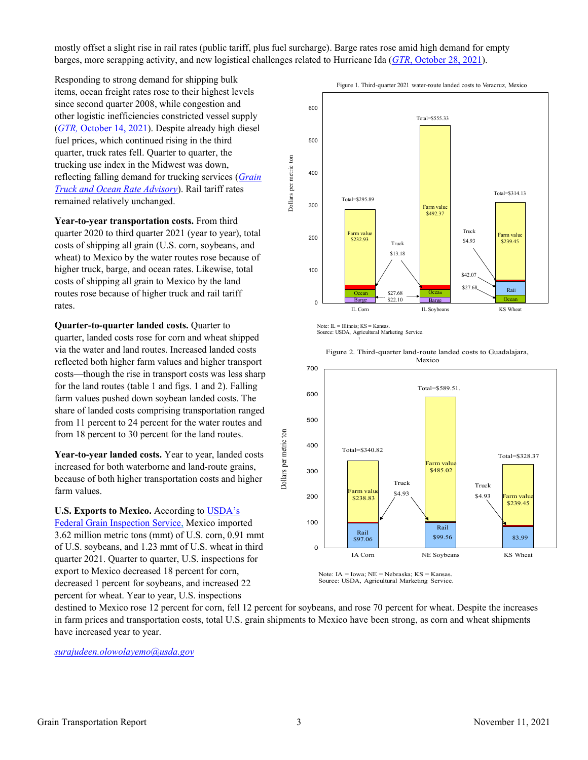mostly offset a slight rise in rail rates (public tariff, plus fuel surcharge). Barge rates rose amid high demand for empty barges, more scrapping activity, and new logistical challenges related to Hurricane Ida (*GTR*[, October 28, 2021](https://www.ams.usda.gov/sites/default/files/media/GTR10282021.pdf#page=2)).

Responding to strong demand for shipping bulk items, ocean freight rates rose to their highest levels since second quarter 2008, while congestion and other logistic inefficiencies constricted vessel supply (*GTR,* October [14, 2021\)](https://www.ams.usda.gov/sites/default/files/media/GTR10142021.pdf#page=2). Despite already high diesel fuel prices, which continued rising in the third quarter, truck rates fell. Quarter to quarter, the trucking use index in the Midwest was down, reflecting falling demand for trucking services (*[Grain](https://www.ams.usda.gov/services/transportation-analysis/gtor#page=4)  [Truck and Ocean Rate Advisory](https://www.ams.usda.gov/services/transportation-analysis/gtor#page=4)*). Rail tariff rates remained relatively unchanged.

**Year-to-year transportation costs.** From third quarter 2020 to third quarter 2021 (year to year), total costs of shipping all grain (U.S. corn, soybeans, and wheat) to Mexico by the water routes rose because of higher truck, barge, and ocean rates. Likewise, total costs of shipping all grain to Mexico by the land routes rose because of higher truck and rail tariff rates.

**Quarter-to-quarter landed costs.** Quarter to quarter, landed costs rose for corn and wheat shipped via the water and land routes. Increased landed costs reflected both higher farm values and higher transport costs—though the rise in transport costs was less sharp for the land routes (table 1 and figs. 1 and 2). Falling farm values pushed down soybean landed costs. The share of landed costs comprising transportation ranged from 11 percent to 24 percent for the water routes and from 18 percent to 30 percent for the land routes.

**Year-to-year landed costs.** Year to year, landed costs increased for both waterborne and land-route grains, because of both higher transportation costs and higher farm values.

**U.S. Exports to Mexico.** According to [USDA's](https://fgisonline.ams.usda.gov/ExportGrainReport/default.aspx) 

[Federal Grain Inspection Service,](https://fgisonline.ams.usda.gov/ExportGrainReport/default.aspx) Mexico imported 3.62 million metric tons (mmt) of U.S. corn, 0.91 mmt of U.S. soybeans, and 1.23 mmt of U.S. wheat in third quarter 2021. Quarter to quarter, U.S. inspections for export to Mexico decreased 18 percent for corn, decreased 1 percent for soybeans, and increased 22 percent for wheat. Year to year, U.S. inspections



Note: IL = Illinois; KS = Kansas.

Source: USDA, Agricultural Marketing Service. I





Note: IA = Iowa; NE = Nebraska; KS = Kansas. Source: USDA, Agricultural Marketing Service.

destined to Mexico rose 12 percent for corn, fell 12 percent for soybeans, and rose 70 percent for wheat. Despite the increases in farm prices and transportation costs, total U.S. grain shipments to Mexico have been strong, as corn and wheat shipments have increased year to year.

Dollars per metric ton

*[surajudeen.olowolayemo@usda.gov](mailto:surajudeen.olowolayemo@usda.gov)*

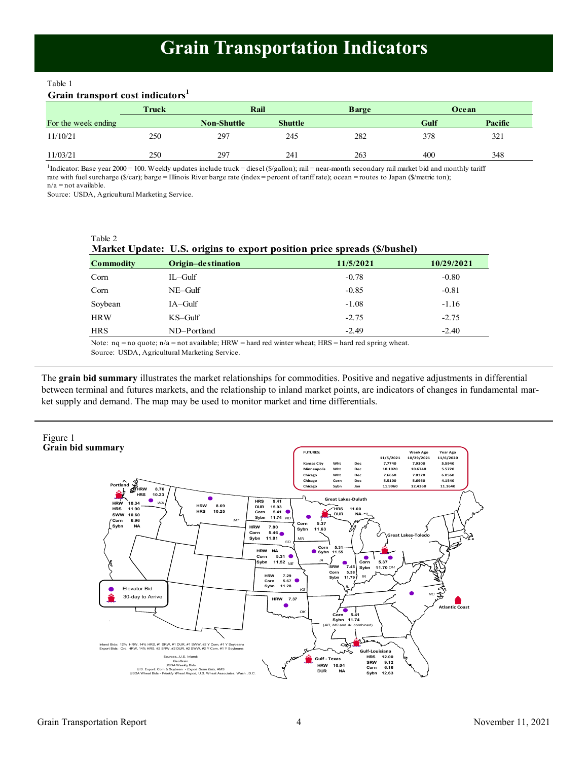# **Grain Transportation Indicators**

<span id="page-3-0"></span>Table 1

# **Grain transport cost indicators<sup>1</sup>**

|                     | Truck |                    | Rail           |     |      | Ocean   |
|---------------------|-------|--------------------|----------------|-----|------|---------|
| For the week ending |       | <b>Non-Shuttle</b> | <b>Shuttle</b> |     | Gulf | Pacific |
| 11/10/21            | 250   | 297                | 245            | 282 | 378  | 321     |
| 11/03/21            | 250   | 297                | 241            | 263 | 400  | 348     |

<sup>1</sup>Indicator: Base year 2000 = 100. Weekly updates include truck = diesel (\$/gallon); rail = near-month secondary rail market bid and monthly tariff rate with fuel surcharge (\$/car); barge = Illinois River barge rate (index = percent of tariff rate); ocean = routes to Japan (\$/metric ton); n/a = not available.

Source: USDA, Agricultural Marketing Service.

| Table 2          | Market Update: U.S. origins to export position price spreads (\$/bushel) |           |            |
|------------------|--------------------------------------------------------------------------|-----------|------------|
| <b>Commodity</b> | Origin-destination                                                       | 11/5/2021 | 10/29/2021 |
| Corn             | $IL$ -Gulf                                                               | $-0.78$   | $-0.80$    |
| Corn             | $NE-Gulf$                                                                | $-0.85$   | $-0.81$    |
| Soybean          | $IA-Gulf$                                                                | $-1.08$   | $-1.16$    |
| <b>HRW</b>       | $KS$ –Gulf                                                               | $-2.75$   | $-2.75$    |
| <b>HRS</b>       | ND-Portland                                                              | $-2.49$   | $-2.40$    |

Note: nq = no quote; n/a = not available; HRW = hard red winter wheat; HRS = hard red spring wheat.

Source: USDA, Agricultural Marketing Service.

The **grain bid summary** illustrates the market relationships for commodities. Positive and negative adjustments in differential between terminal and futures markets, and the relationship to inland market points, are indicators of changes in fundamental market supply and demand. The map may be used to monitor market and time differentials.

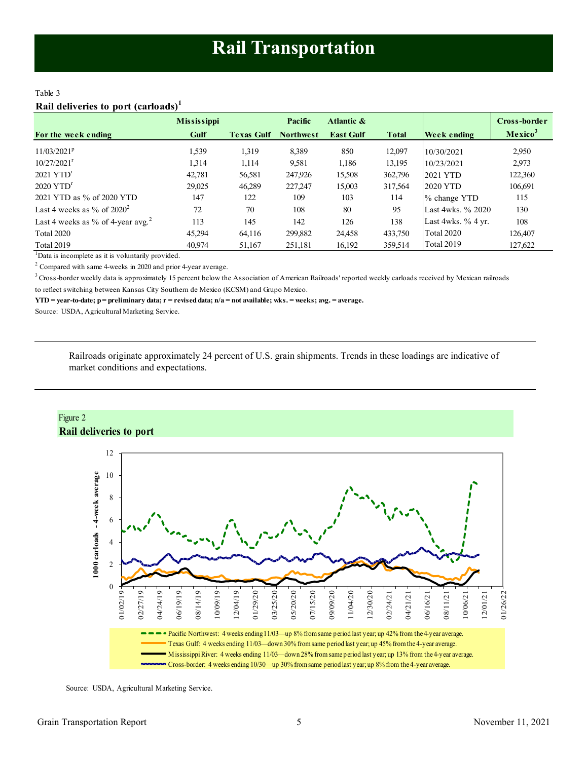# <span id="page-4-0"></span>Table 3 **Rail deliveries to port (carloads)<sup>1</sup>**

|                                               | <b>Mississippi</b> |                   | Pacific          | Atlantic &       |              |                      | Cross-border        |
|-----------------------------------------------|--------------------|-------------------|------------------|------------------|--------------|----------------------|---------------------|
| For the week ending                           | Gulf               | <b>Texas Gulf</b> | <b>Northwest</b> | <b>East Gulf</b> | <b>Total</b> | Week ending          | Mexico <sup>3</sup> |
| $11/03/2021^p$                                | 1,539              | 1,319             | 8,389            | 850              | 12.097       | 10/30/2021           | 2,950               |
| $10/27/2021$ <sup>r</sup>                     | 1.314              | 1,114             | 9,581            | 1,186            | 13,195       | 10/23/2021           | 2,973               |
| $2021$ YTD <sup>r</sup>                       | 42,781             | 56,581            | 247,926          | 15,508           | 362,796      | 2021 YTD             | 122,360             |
| $2020$ YTD <sup>r</sup>                       | 29.025             | 46,289            | 227,247          | 15,003           | 317,564      | <b>2020 YTD</b>      | 106,691             |
| 2021 YTD as % of 2020 YTD                     | 147                | 122               | 109              | 103              | 114          | % change YTD         | 115                 |
| Last 4 weeks as % of $2020^2$                 | 72                 | 70                | 108              | 80               | 95           | Last 4wks. % 2020    | 130                 |
| Last 4 weeks as % of 4-year avg. <sup>2</sup> | 113                | 145               | 142              | 126              | 138          | Last 4wks. $%$ 4 yr. | 108                 |
| <b>Total 2020</b>                             | 45.294             | 64,116            | 299,882          | 24,458           | 433,750      | <b>Total 2020</b>    | 126.407             |
| Total 2019                                    | 40.974             | 51,167            | 251,181          | 16,192           | 359,514      | <b>Total 2019</b>    | 127,622             |

 $1$ Data is incomplete as it is voluntarily provided.

 $2$  Compared with same 4-weeks in 2020 and prior 4-year average.

<sup>3</sup> Cross-border weekly data is approximately 15 percent below the Association of American Railroads' reported weekly carloads received by Mexican railroads to reflect switching between Kansas City Southern de Mexico (KCSM) and Grupo Mexico.

**YTD = year-to-date; p = preliminary data; r = revised data; n/a = not available; wks. = weeks; avg. = average.**

Source: USDA, Agricultural Marketing Service.

Railroads originate approximately 24 percent of U.S. grain shipments. Trends in these loadings are indicative of market conditions and expectations.



Source: USDA, Agricultural Marketing Service.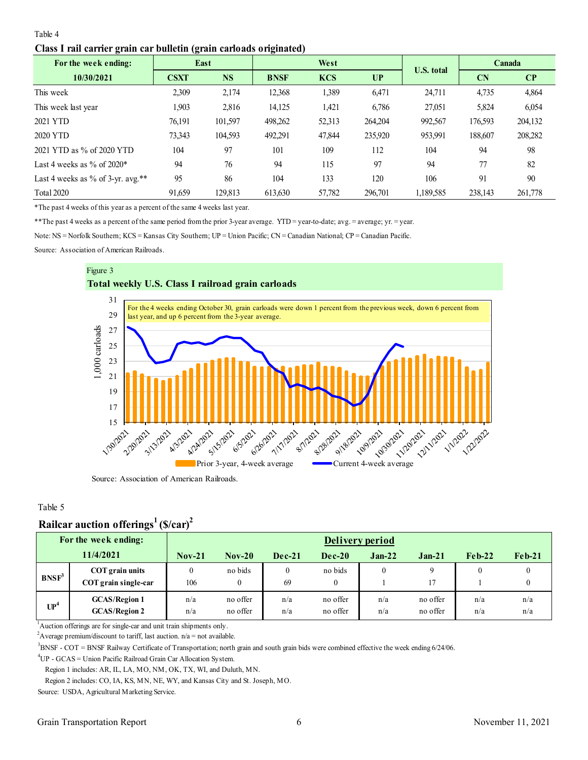### <span id="page-5-0"></span>Table 4

#### **Class I rail carrier grain car bulletin (grain carloads originated)**

| 0<br>For the week ending:         | East        |           | 0           | West       |         | <b>U.S. total</b> |           | Canada                 |
|-----------------------------------|-------------|-----------|-------------|------------|---------|-------------------|-----------|------------------------|
| 10/30/2021                        | <b>CSXT</b> | <b>NS</b> | <b>BNSF</b> | <b>KCS</b> | UP      |                   | <b>CN</b> | $\mathbf{C}\mathbf{P}$ |
| This week                         | 2,309       | 2,174     | 12,368      | 1,389      | 6,471   | 24,711            | 4,735     | 4,864                  |
| This week last year               | 1.903       | 2,816     | 14,125      | 1,421      | 6,786   | 27,051            | 5,824     | 6,054                  |
| 2021 YTD                          | 76,191      | 101,597   | 498,262     | 52,313     | 264,204 | 992,567           | 176,593   | 204,132                |
| 2020 YTD                          | 73,343      | 104,593   | 492,291     | 47,844     | 235,920 | 953,991           | 188,607   | 208,282                |
| 2021 YTD as % of 2020 YTD         | 104         | 97        | 101         | 109        | 112     | 104               | 94        | 98                     |
| Last 4 weeks as $\%$ of 2020*     | 94          | 76        | 94          | 115        | 97      | 94                | 77        | 82                     |
| Last 4 weeks as % of 3-yr. avg.** | 95          | 86        | 104         | 133        | 120     | 106               | 91        | 90                     |
| <b>Total 2020</b>                 | 91,659      | 129,813   | 613,630     | 57,782     | 296,701 | 1,189,585         | 238,143   | 261,778                |

\*The past 4 weeks of this year as a percent of the same 4 weeks last year.

\*\*The past 4 weeks as a percent of the same period from the prior 3-year average. YTD = year-to-date; avg. = average; yr. = year.

Note: NS = Norfolk Southern; KCS = Kansas City Southern; UP = Union Pacific; CN = Canadian National; CP = Canadian Pacific.

Source: Association of American Railroads.





Source: Association of American Railroads.

### Table 5

# **Railcar auction offerings<sup>1</sup>(\$/car)<sup>2</sup>**

|          | For the week ending:                         |            | Delivery period      |            |                      |            |                      |            |            |  |  |
|----------|----------------------------------------------|------------|----------------------|------------|----------------------|------------|----------------------|------------|------------|--|--|
|          | 11/4/2021                                    | $Nov-21$   | $Nov-20$             | $Dec-21$   | $Dec-20$             | $Jan-22$   | $Jan-21$             | $Feb-22$   | $Feh-21$   |  |  |
| $BNSF^3$ | COT grain units<br>COT grain single-car      | 0<br>106   | no bids<br>0         | 0<br>69    | no bids<br>$\theta$  | 0          | 17                   |            | 0          |  |  |
| $UP^4$   | <b>GCAS/Region 1</b><br><b>GCAS/Region 2</b> | n/a<br>n/a | no offer<br>no offer | n/a<br>n/a | no offer<br>no offer | n/a<br>n/a | no offer<br>no offer | n/a<br>n/a | n/a<br>n/a |  |  |

<sup>1</sup>Auction offerings are for single-car and unit train shipments only.

<sup>2</sup>Average premium/discount to tariff, last auction.  $n/a = not$  available.

 $3$ BNSF - COT = BNSF Railway Certificate of Transportation; north grain and south grain bids were combined effective the week ending  $6/24/06$ .

<sup>4</sup>UP - GCAS = Union Pacific Railroad Grain Car Allocation System.

Region 1 includes: AR, IL, LA, MO, NM, OK, TX, WI, and Duluth, MN.

Region 2 includes: CO, IA, KS, MN, NE, WY, and Kansas City and St. Joseph, MO.

Source: USDA, Agricultural Marketing Service.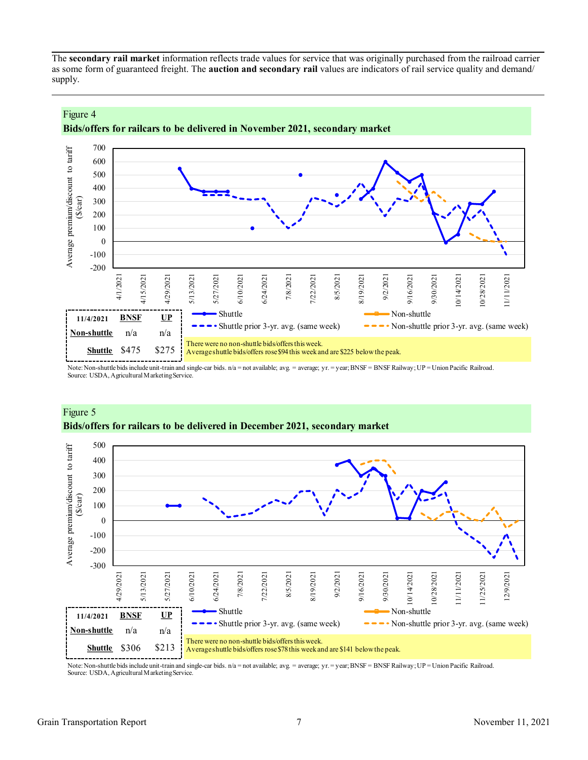The **secondary rail market** information reflects trade values for service that was originally purchased from the railroad carrier as some form of guaranteed freight. The **auction and secondary rail** values are indicators of rail service quality and demand/ supply.



# **Bids/offers for railcars to be delivered in November 2021, secondary market**

Note: Non-shuttle bids include unit-train and single-car bids. n/a = not available; avg. = average; yr. = year; BNSF = BNSF Railway; UP = Union Pacific Railroad. Source: USDA, Agricultural Marketing Service.



# Figure 5 **Bids/offers for railcars to be delivered in December 2021, secondary market**

Note: Non-shuttle bids include unit-train and single-car bids. n/a = not available; avg. = average; yr. = year; BNSF = BNSF Railway; UP = Union Pacific Railroad. Source: USDA, Agricultural Marketing Service.

Figure 4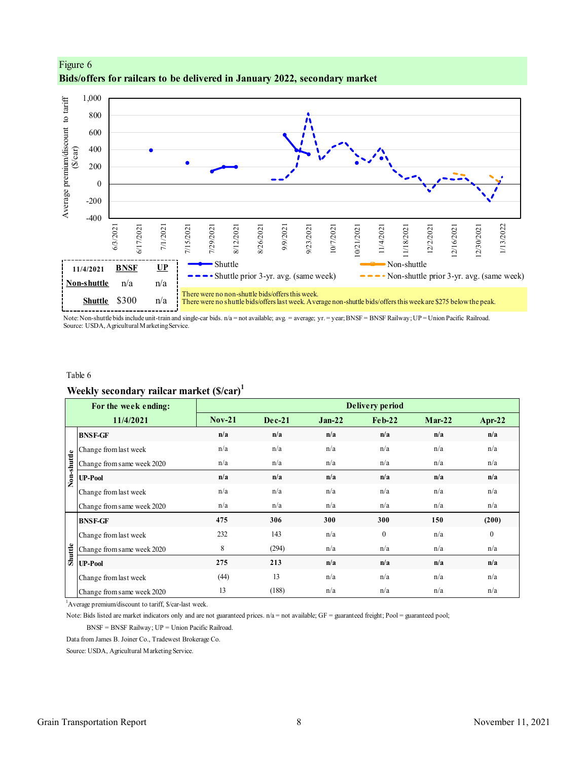

# <span id="page-7-0"></span>Figure 6 **Bids/offers for railcars to be delivered in January 2022, secondary market**

Note: Non-shuttle bids include unit-train and single-car bids. n/a = not available; avg. = average; yr. = year; BNSF = BNSF Railway; UP = Union Pacific Railroad. Source: USDA, Agricultural Marketing Service.

#### Table 6

# **Weekly secondary railcar market (\$/car)<sup>1</sup>**

|             | For the week ending:                                                                                                                                  |          |          |          | <b>Delivery period</b> |          |                |
|-------------|-------------------------------------------------------------------------------------------------------------------------------------------------------|----------|----------|----------|------------------------|----------|----------------|
|             | 11/4/2021                                                                                                                                             | $Nov-21$ | $Dec-21$ | $Jan-22$ | $Feh-22$               | $Mar-22$ | Apr-22         |
|             | <b>BNSF-GF</b>                                                                                                                                        | n/a      | n/a      | n/a      | n/a                    | n/a      | n/a            |
|             | Change from last week                                                                                                                                 | n/a      | n/a      | n/a      | n/a                    | n/a      | n/a            |
|             | Change from same week 2020                                                                                                                            | n/a      | n/a      | n/a      | n/a                    | n/a      | n/a            |
| Non-shuttle | <b>UP-Pool</b>                                                                                                                                        | n/a      | n/a      | n/a      | n/a                    | n/a      | n/a            |
|             | Change from last week                                                                                                                                 | n/a      | n/a      | n/a      | n/a                    | n/a      | n/a            |
|             | Change from same week 2020                                                                                                                            | n/a      | n/a      | n/a      | n/a                    | n/a      | n/a            |
|             | <b>BNSF-GF</b>                                                                                                                                        | 475      | 306      | 300      | 300                    | 150      | (200)          |
|             | Change from last week                                                                                                                                 | 232      | 143      | n/a      | $\mathbf{0}$           | n/a      | $\overline{0}$ |
| Shuttle     | Change from same week 2020                                                                                                                            | 8        | (294)    | n/a      | n/a                    | n/a      | n/a            |
|             | <b>UP-Pool</b>                                                                                                                                        | 275      | 213      | n/a      | n/a                    | n/a      | n/a            |
|             | Change from last week                                                                                                                                 | (44)     | 13       | n/a      | n/a                    | n/a      | n/a            |
|             | Change from same week 2020                                                                                                                            | 13       | (188)    | n/a      | n/a                    | n/a      | n/a            |
|             | <sup>1</sup> Average premium/discount to tariff, \$/car-last week.                                                                                    |          |          |          |                        |          |                |
|             | Note: Bids listed are market indicators only and are not guaranteed prices. $n/a =$ not available; $GF =$ guaranteed freight; Pool = guaranteed pool; |          |          |          |                        |          |                |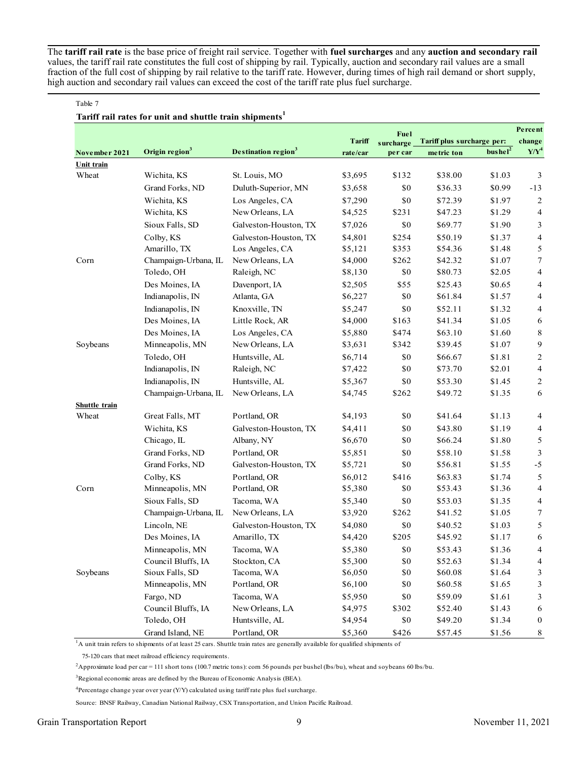The **tariff rail rate** is the base price of freight rail service. Together with **fuel surcharges** and any **auction and secondary rail** values, the tariff rail rate constitutes the full cost of shipping by rail. Typically, auction and secondary rail values are a small fraction of the full cost of shipping by rail relative to the tariff rate. However, during times of high rail demand or short supply, high auction and secondary rail values can exceed the cost of the tariff rate plus fuel surcharge.

#### Table 7

# **Tariff rail rates for unit and shuttle train shipments<sup>1</sup>**

|               |                            |                                 |          | Fuel      |                            |                     | Percent        |
|---------------|----------------------------|---------------------------------|----------|-----------|----------------------------|---------------------|----------------|
|               |                            |                                 | Tariff   | surcharge | Tariff plus surcharge per: |                     | change         |
| November 2021 | Origin region <sup>3</sup> | Destination region <sup>3</sup> | rate/car | per car   | metric ton                 | bushel <sup>2</sup> | $Y/Y^4$        |
| Unit train    |                            |                                 |          |           |                            |                     |                |
| Wheat         | Wichita, KS                | St. Louis, MO                   | \$3,695  | \$132     | \$38.00                    | \$1.03              | 3              |
|               | Grand Forks, ND            | Duluth-Superior, MN             | \$3,658  | \$0       | \$36.33                    | \$0.99              | $-13$          |
|               | Wichita, KS                | Los Angeles, CA                 | \$7,290  | \$0       | \$72.39                    | \$1.97              | 2              |
|               | Wichita, KS                | New Orleans, LA                 | \$4,525  | \$231     | \$47.23                    | \$1.29              | 4              |
|               | Sioux Falls, SD            | Galveston-Houston, TX           | \$7,026  | \$0       | \$69.77                    | \$1.90              | 3              |
|               | Colby, KS                  | Galveston-Houston, TX           | \$4,801  | \$254     | \$50.19                    | \$1.37              | 4              |
|               | Amarillo, TX               | Los Angeles, CA                 | \$5,121  | \$353     | \$54.36                    | \$1.48              | 5              |
| Corn          | Champaign-Urbana, IL       | New Orleans, LA                 | \$4,000  | \$262     | \$42.32                    | \$1.07              | 7              |
|               | Toledo, OH                 | Raleigh, NC                     | \$8,130  | \$0       | \$80.73                    | \$2.05              | 4              |
|               | Des Moines, IA             | Davenport, IA                   | \$2,505  | \$55      | \$25.43                    | \$0.65              | 4              |
|               | Indianapolis, IN           | Atlanta, GA                     | \$6,227  | \$0       | \$61.84                    | \$1.57              | 4              |
|               | Indianapolis, IN           | Knoxville, TN                   | \$5,247  | \$0       | \$52.11                    | \$1.32              | 4              |
|               | Des Moines, IA             | Little Rock, AR                 | \$4,000  | \$163     | \$41.34                    | \$1.05              | 6              |
|               | Des Moines, IA             | Los Angeles, CA                 | \$5,880  | \$474     | \$63.10                    | \$1.60              | 8              |
| Soybeans      | Minneapolis, MN            | New Orleans, LA                 | \$3,631  | \$342     | \$39.45                    | \$1.07              | 9              |
|               | Toledo, OH                 | Huntsville, AL                  | \$6,714  | \$0       | \$66.67                    | \$1.81              | $\overline{c}$ |
|               | Indianapolis, IN           | Raleigh, NC                     | \$7,422  | \$0       | \$73.70                    | \$2.01              | 4              |
|               | Indianapolis, IN           | Huntsville, AL                  | \$5,367  | $\$0$     | \$53.30                    | \$1.45              | 2              |
|               | Champaign-Urbana, IL       | New Orleans, LA                 | \$4,745  | \$262     | \$49.72                    | \$1.35              | 6              |
| Shuttle train |                            |                                 |          |           |                            |                     |                |
| Wheat         | Great Falls, MT            | Portland, OR                    | \$4,193  | \$0       | \$41.64                    | \$1.13              | 4              |
|               | Wichita, KS                | Galveston-Houston, TX           | \$4,411  | \$0       | \$43.80                    | \$1.19              | 4              |
|               | Chicago, IL                | Albany, NY                      | \$6,670  | \$0       | \$66.24                    | \$1.80              | $\mathfrak s$  |
|               | Grand Forks, ND            | Portland, OR                    | \$5,851  | \$0       | \$58.10                    | \$1.58              | $\mathfrak{Z}$ |
|               | Grand Forks, ND            | Galveston-Houston, TX           | \$5,721  | \$0       | \$56.81                    | \$1.55              | $-5$           |
|               | Colby, KS                  | Portland, OR                    | \$6,012  | \$416     | \$63.83                    | \$1.74              | 5              |
| Corn          | Minneapolis, MN            | Portland, OR                    | \$5,380  | \$0       | \$53.43                    | \$1.36              | 4              |
|               | Sioux Falls, SD            | Tacoma, WA                      | \$5,340  | \$0       | \$53.03                    | \$1.35              | 4              |
|               | Champaign-Urbana, IL       | New Orleans, LA                 | \$3,920  | \$262     | \$41.52                    | \$1.05              | 7              |
|               | Lincoln, NE                | Galveston-Houston, TX           | \$4,080  | \$0       | \$40.52                    | \$1.03              | 5              |
|               | Des Moines, IA             | Amarillo, TX                    | \$4,420  | \$205     | \$45.92                    | \$1.17              | 6              |
|               | Minneapolis, MN            | Tacoma, WA                      | \$5,380  | \$0       | \$53.43                    | \$1.36              | 4              |
|               | Council Bluffs, IA         | Stockton, CA                    | \$5,300  | $\$0$     | \$52.63                    | \$1.34              | 4              |
| Soybeans      | Sioux Falls, SD            | Tacoma, WA                      | \$6,050  | $\$0$     | \$60.08                    | \$1.64              | 3              |
|               | Minneapolis, MN            | Portland, OR                    | \$6,100  | \$0       | \$60.58                    | \$1.65              | 3              |
|               | Fargo, ND                  | Tacoma, WA                      | \$5,950  | \$0       | \$59.09                    | \$1.61              | 3              |
|               | Council Bluffs, IA         | New Orleans, LA                 | \$4,975  | \$302     | \$52.40                    | \$1.43              | 6              |
|               | Toledo, OH                 | Huntsville, AL                  | \$4,954  | \$0       | \$49.20                    | \$1.34              | $\bf{0}$       |
|               | Grand Island, NE           | Portland, OR                    | \$5,360  | \$426     | \$57.45                    | \$1.56              | 8              |

 $1A$  unit train refers to shipments of at least 25 cars. Shuttle train rates are generally available for qualified shipments of

75-120 cars that meet railroad efficiency requirements.

<sup>2</sup>Approximate load per car = 111 short tons (100.7 metric tons): corn 56 pounds per bushel (lbs/bu), wheat and soybeans 60 lbs/bu.

<sup>3</sup>Regional economic areas are defined by the Bureau of Economic Analysis (BEA).

 $4$ Percentage change year over year (Y/Y) calculated using tariff rate plus fuel surcharge.

Source: BNSF Railway, Canadian National Railway, CSX Transportation, and Union Pacific Railroad.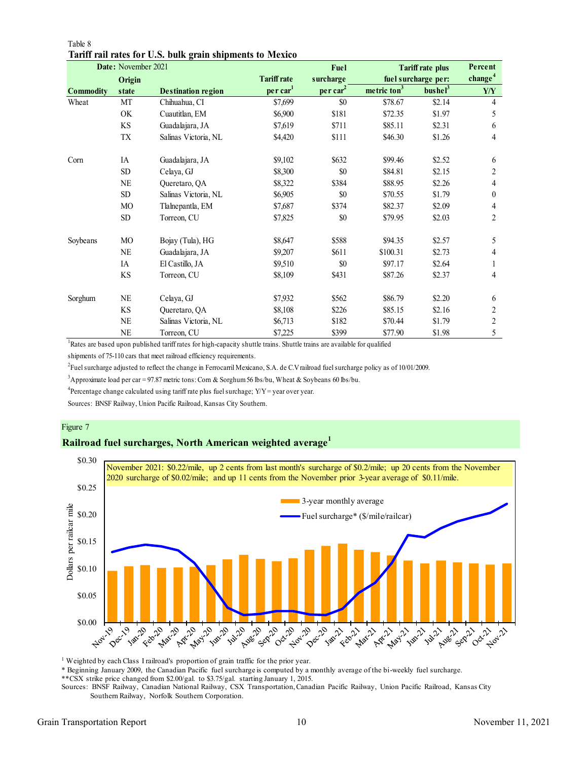|                  | Date: November 2021    |                           |                      | Fuel                 |                         | <b>Tariff rate plus</b> | Percent             |
|------------------|------------------------|---------------------------|----------------------|----------------------|-------------------------|-------------------------|---------------------|
|                  | Origin                 |                           | <b>Tariff rate</b>   | surcharge            |                         | fuel surcharge per:     | change <sup>4</sup> |
| <b>Commodity</b> | state                  | <b>Destination region</b> | per car <sup>1</sup> | per car <sup>2</sup> | metric ton <sup>3</sup> | bushel <sup>3</sup>     | Y/Y                 |
| Wheat            | MT                     | Chihuahua, CI             | \$7,699              | \$0                  | \$78.67                 | \$2.14                  | $\overline{4}$      |
|                  | OK                     | Cuautitlan, EM            | \$6,900              | \$181                | \$72.35                 | \$1.97                  | 5                   |
|                  | KS                     | Guadalajara, JA           | \$7,619              | \$711                | \$85.11                 | \$2.31                  | 6                   |
|                  | TX                     | Salinas Victoria, NL      | \$4,420              | \$111                | \$46.30                 | \$1.26                  | 4                   |
| Corn             | IA                     | Guadalajara, JA           | \$9,102              | \$632                | \$99.46                 | \$2.52                  | 6                   |
|                  | <b>SD</b>              | Celaya, GJ                | \$8,300              | \$0                  | \$84.81                 | \$2.15                  | 2                   |
|                  | $\rm NE$               | Queretaro, QA             | \$8,322              | \$384                | \$88.95                 | \$2.26                  | 4                   |
|                  | <b>SD</b>              | Salinas Victoria, NL      | \$6,905              | \$0                  | \$70.55                 | \$1.79                  | $\boldsymbol{0}$    |
|                  | MO                     | Tlalnepantla, EM          | \$7,687              | \$374                | \$82.37                 | \$2.09                  | 4                   |
|                  | SD <sub></sub>         | Torreon, CU               | \$7,825              | \$0                  | \$79.95                 | \$2.03                  | 2                   |
| Soybeans         | MO                     | Bojay (Tula), HG          | \$8,647              | \$588                | \$94.35                 | \$2.57                  | 5                   |
|                  | <b>NE</b>              | Guadalajara, JA           | \$9,207              | \$611                | \$100.31                | \$2.73                  | 4                   |
|                  | IA                     | El Castillo, JA           | \$9,510              | \$0                  | \$97.17                 | \$2.64                  |                     |
|                  | $\mathbf{K}\mathbf{S}$ | Torreon, CU               | \$8,109              | \$431                | \$87.26                 | \$2.37                  | 4                   |
| Sorghum          | <b>NE</b>              | Celaya, GJ                | \$7,932              | \$562                | \$86.79                 | \$2.20                  | 6                   |
|                  | <b>KS</b>              | Queretaro, QA             | \$8,108              | \$226                | \$85.15                 | \$2.16                  | 2                   |
|                  | NE                     | Salinas Victoria, NL      | \$6,713              | \$182                | \$70.44                 | \$1.79                  | $\overline{c}$      |
|                  | <b>NE</b>              | Torreon, CU               | \$7,225              | \$399                | \$77.90                 | \$1.98                  | 5                   |

Table 8 **Tariff rail rates for U.S. bulk grain shipments to Mexico**

<sup>1</sup>Rates are based upon published tariff rates for high-capacity shuttle trains. Shuttle trains are available for qualified

shipments of 75-110 cars that meet railroad efficiency requirements.

2 Fuel surcharge adjusted to reflect the change in Ferrocarril Mexicano, S.A. de C.V railroad fuel surcharge policy as of 10/01/2009.

<sup>3</sup>Approximate load per car = 97.87 metric tons: Corn & Sorghum 56 lbs/bu, Wheat & Soybeans 60 lbs/bu.

<sup>4</sup> Percentage change calculated using tariff rate plus fuel surchage;  $Y/Y = year$  over year.

Sources: BNSF Railway, Union Pacific Railroad, Kansas City Southern.

#### Figure 7

# **Railroad fuel surcharges, North American weighted average<sup>1</sup>**



<sup>1</sup> Weighted by each Class I railroad's proportion of grain traffic for the prior year.

\* Beginning January 2009, the Canadian Pacific fuel surcharge is computed by a monthly average of the bi-weekly fuel surcharge.

\*\*CSX strike price changed from \$2.00/gal. to \$3.75/gal. starting January 1, 2015.

Sources: BNSF Railway, Canadian National Railway, CSX Transportation, Canadian Pacific Railway, Union Pacific Railroad, Kansas City Southern Railway, Norfolk Southern Corporation.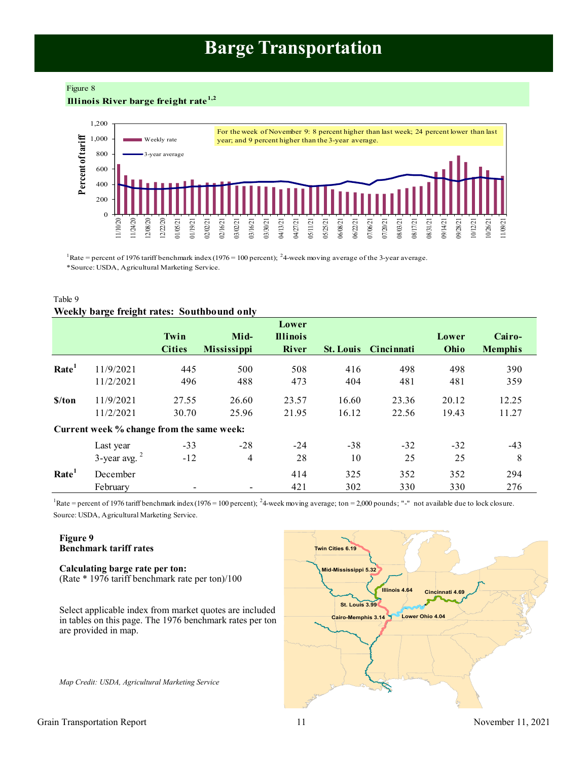# **Barge Transportation**

<span id="page-10-0"></span>Figure 8

**Illinois River barge freight rate1,2**



<sup>1</sup>Rate = percent of 1976 tariff benchmark index (1976 = 100 percent); <sup>2</sup>4 week moving average of the 3-year average. \*Source: USDA, Agricultural Marketing Service.

# Table 9 **Weekly barge freight rates: Southbound only**

|                   |                                           | Twin<br><b>Cities</b> | Mid-<br><b>Mississippi</b> | Lower<br><b>Illinois</b><br><b>River</b> |            | <b>St. Louis</b> Cincinnati | Lower<br>Ohio | Cairo-<br><b>Memphis</b> |
|-------------------|-------------------------------------------|-----------------------|----------------------------|------------------------------------------|------------|-----------------------------|---------------|--------------------------|
| Rate <sup>1</sup> | 11/9/2021                                 | 445                   | 500                        | 508                                      | 416        | 498                         | 498           | 390                      |
|                   | 11/2/2021                                 | 496                   | 488                        | 473                                      | 404        | 481                         | 481           | 359                      |
| \$/ton            | 11/9/2021                                 | 27.55                 | 26.60                      | 23.57                                    | 16.60      | 23.36                       | 20.12         | 12.25                    |
|                   | 11/2/2021                                 | 30.70                 | 25.96                      | 21.95                                    | 16.12      | 22.56                       | 19.43         | 11.27                    |
|                   | Current week % change from the same week: |                       |                            |                                          |            |                             |               |                          |
|                   | Last year                                 | $-33$                 | $-28$                      | $-24$                                    | $-38$      | $-32$                       | $-32$         | $-43$                    |
|                   | $3$ -year avg. $2$                        | $-12$                 | 4                          | 28                                       | 10         | 25                          | 25            | 8                        |
| Rate <sup>1</sup> | December<br>February                      |                       |                            | 414<br>421                               | 325<br>302 | 352<br>330                  | 352<br>330    | 294<br>276               |

Source: USDA, Agricultural Marketing Service. <sup>1</sup>Rate = percent of 1976 tariff benchmark index (1976 = 100 percent); <sup>2</sup>4-week moving average; ton = 2,000 pounds; "-" not available due to lock closure.

# **Figure 9 Benchmark tariff rates**

**Calculating barge rate per ton:** (Rate \* 1976 tariff benchmark rate per ton)/100

Select applicable index from market quotes are included in tables on this page. The 1976 benchmark rates per ton are provided in map.

*Map Credit: USDA, Agricultural Marketing Service* 

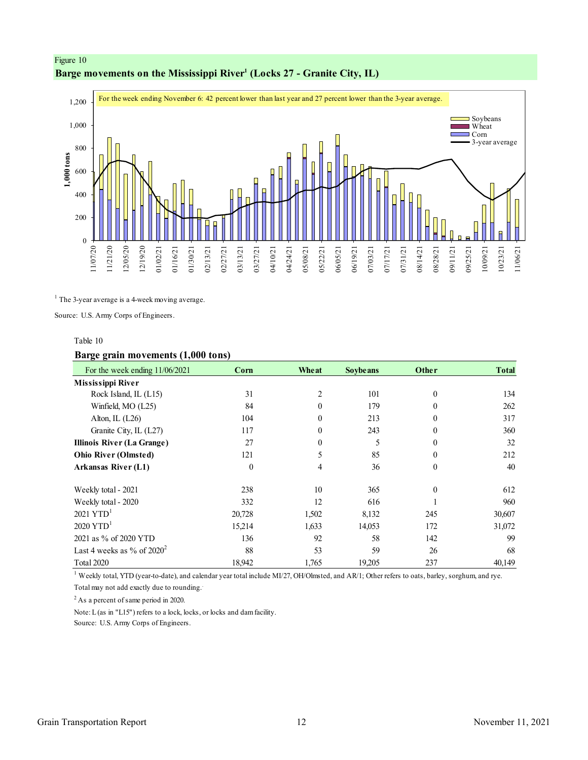# <span id="page-11-0"></span>Figure 10 **Barge movements on the Mississippi River<sup>1</sup> (Locks 27 - Granite City, IL)**



<sup>1</sup> The 3-year average is a 4-week moving average.

Source: U.S. Army Corps of Engineers.

#### Table 10

### **Barge grain movements (1,000 tons)**

| For the week ending 11/06/2021    | Corn     | Wheat          | <b>Soybe ans</b> | Other        | <b>Total</b> |
|-----------------------------------|----------|----------------|------------------|--------------|--------------|
| <b>Mississippi River</b>          |          |                |                  |              |              |
| Rock Island, IL (L15)             | 31       | $\overline{c}$ | 101              | $\mathbf{0}$ | 134          |
| Winfield, MO (L25)                | 84       | $\theta$       | 179              | $\Omega$     | 262          |
| Alton, IL (L26)                   | 104      | $\theta$       | 213              | $\theta$     | 317          |
| Granite City, IL (L27)            | 117      | $\theta$       | 243              | $\theta$     | 360          |
| <b>Illinois River (La Grange)</b> | 27       | $\theta$       | 5                | $\theta$     | 32           |
| <b>Ohio River (Olmsted)</b>       | 121      | 5              | 85               | $\theta$     | 212          |
| <b>Arkansas River (L1)</b>        | $\theta$ | 4              | 36               | $\theta$     | 40           |
| Weekly total - 2021               | 238      | 10             | 365              | $\Omega$     | 612          |
| Weekly total - 2020               | 332      | 12             | 616              |              | 960          |
| $2021$ YTD <sup>1</sup>           | 20,728   | 1,502          | 8,132            | 245          | 30,607       |
| $2020$ YTD <sup>1</sup>           | 15,214   | 1,633          | 14,053           | 172          | 31,072       |
| 2021 as % of 2020 YTD             | 136      | 92             | 58               | 142          | 99           |
| Last 4 weeks as % of $2020^2$     | 88       | 53             | 59               | 26           | 68           |
| Total 2020                        | 18,942   | 1,765          | 19,205           | 237          | 40,149       |

<sup>1</sup> Weekly total, YTD (year-to-date), and calendar year total include MI/27, OH/Olmsted, and AR/1; Other refers to oats, barley, sorghum, and rye.

Total may not add exactly due to rounding..

<sup>2</sup> As a percent of same period in 2020.

Note: L (as in "L15") refers to a lock, locks, or locks and dam facility.

Source: U.S. Army Corps of Engineers.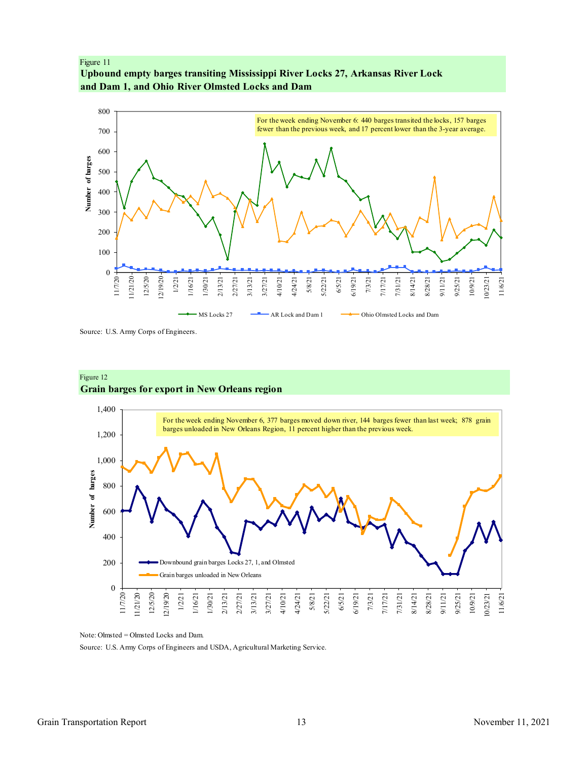<span id="page-12-0"></span>Figure 11 **Upbound empty barges transiting Mississippi River Locks 27, Arkansas River Lock and Dam 1, and Ohio River Olmsted Locks and Dam**



Source: U.S. Army Corps of Engineers.



# **Grain barges for export in New Orleans region**

Note: Olmsted = Olmsted Locks and Dam.

Source: U.S. Army Corps of Engineers and USDA, Agricultural Marketing Service.

Figure 12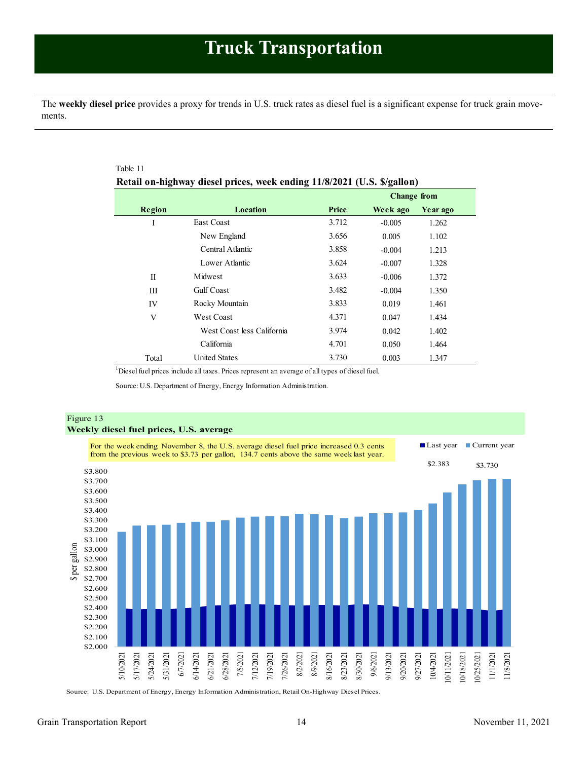<span id="page-13-1"></span><span id="page-13-0"></span>The **weekly diesel price** provides a proxy for trends in U.S. truck rates as diesel fuel is a significant expense for truck grain movements.

|             |                            |       | <b>Change from</b> |          |  |
|-------------|----------------------------|-------|--------------------|----------|--|
| Region      | Location                   | Price | Week ago           | Year ago |  |
| I           | <b>East Coast</b>          | 3.712 | $-0.005$           | 1.262    |  |
|             | New England                | 3.656 | 0.005              | 1.102    |  |
|             | Central Atlantic           | 3.858 | $-0.004$           | 1.213    |  |
|             | Lower Atlantic             | 3.624 | $-0.007$           | 1.328    |  |
| $_{\rm II}$ | Midwest                    | 3.633 | $-0.006$           | 1.372    |  |
| Ш           | <b>Gulf</b> Coast          | 3.482 | $-0.004$           | 1.350    |  |
| IV          | Rocky Mountain             | 3.833 | 0.019              | 1.461    |  |
| V           | <b>West Coast</b>          | 4.371 | 0.047              | 1.434    |  |
|             | West Coast less California | 3.974 | 0.042              | 1.402    |  |
|             | California                 | 4.701 | 0.050              | 1.464    |  |
| Total       | <b>United States</b>       | 3.730 | 0.003              | 1.347    |  |

<sup>1</sup>Diesel fuel prices include all taxes. Prices represent an average of all types of diesel fuel.

Source: U.S. Department of Energy, Energy Information Administration.



Source: U.S. Department of Energy, Energy Information Administration, Retail On-Highway Diesel Prices.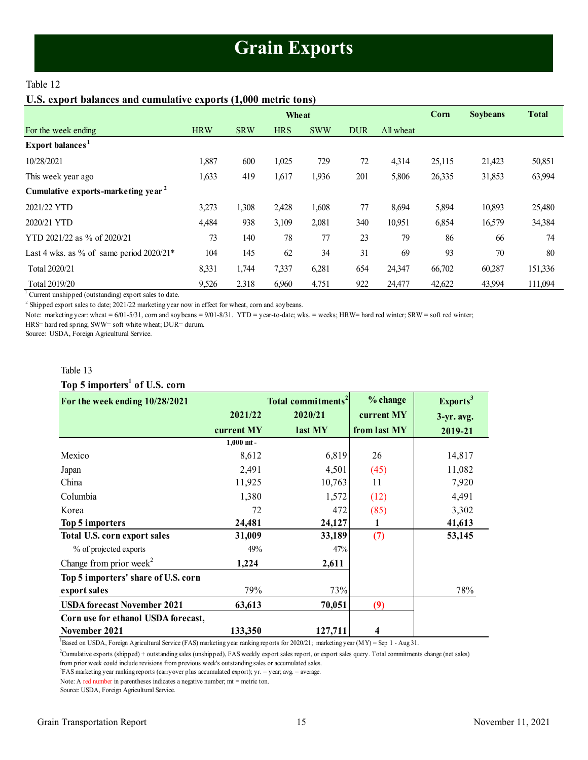# **Grain Exports**

# <span id="page-14-1"></span><span id="page-14-0"></span>Table 12

# **U.S. export balances and cumulative exports (1,000 metric tons)**

|                                                | <b>Wheat</b> |            |            |            |            |           | Corn   | <b>Soybe ans</b> | <b>Total</b> |
|------------------------------------------------|--------------|------------|------------|------------|------------|-----------|--------|------------------|--------------|
| For the week ending                            | <b>HRW</b>   | <b>SRW</b> | <b>HRS</b> | <b>SWW</b> | <b>DUR</b> | All wheat |        |                  |              |
| Export balances <sup>1</sup>                   |              |            |            |            |            |           |        |                  |              |
| 10/28/2021                                     | 1,887        | 600        | 1,025      | 729        | 72         | 4,314     | 25,115 | 21,423           | 50,851       |
| This week year ago                             | 1,633        | 419        | 1,617      | 1,936      | 201        | 5,806     | 26,335 | 31,853           | 63,994       |
| Cumulative exports-marketing year <sup>2</sup> |              |            |            |            |            |           |        |                  |              |
| 2021/22 YTD                                    | 3,273        | 1,308      | 2,428      | 1,608      | 77         | 8,694     | 5,894  | 10,893           | 25,480       |
| 2020/21 YTD                                    | 4,484        | 938        | 3,109      | 2,081      | 340        | 10,951    | 6,854  | 16,579           | 34,384       |
| YTD 2021/22 as % of 2020/21                    | 73           | 140        | 78         | 77         | 23         | 79        | 86     | 66               | 74           |
| Last 4 wks. as % of same period $2020/21*$     | 104          | 145        | 62         | 34         | 31         | 69        | 93     | 70               | 80           |
| Total 2020/21                                  | 8,331        | 1,744      | 7,337      | 6,281      | 654        | 24,347    | 66,702 | 60,287           | 151,336      |
| Total 2019/20                                  | 9,526        | 2,318      | 6,960      | 4,751      | 922        | 24,477    | 42,622 | 43,994           | 111,094      |

<sup>1</sup> Current unshipped (outstanding) export sales to date.

 $2^2$  Shipped export sales to date; 2021/22 marketing year now in effect for wheat, corn and soybeans.

Note: marketing year: wheat = 6/01-5/31, corn and soybeans = 9/01-8/31. YTD = year-to-date; wks. = weeks; HRW= hard red winter; SRW = soft red winter;

HRS= hard red spring; SWW= soft white wheat; DUR= durum.

Source: USDA, Foreign Agricultural Service.

#### Table 13

# **Top 5 importers<sup>1</sup> of U.S. corn**

| Table 13                                  |              |                                |              |                      |
|-------------------------------------------|--------------|--------------------------------|--------------|----------------------|
| Top 5 importers <sup>1</sup> of U.S. corn |              |                                |              |                      |
| For the week ending 10/28/2021            |              | Total commitments <sup>2</sup> | % change     | Exports <sup>3</sup> |
|                                           | 2021/22      | 2020/21                        | current MY   | $3-yr$ . avg.        |
|                                           | current MY   | last MY                        | from last MY | 2019-21              |
|                                           | $1,000$ mt - |                                |              |                      |
| Mexico                                    | 8,612        | 6,819                          | 26           | 14,817               |
| Japan                                     | 2,491        | 4,501                          | (45)         | 11,082               |
| China                                     | 11,925       | 10,763                         | 11           | 7,920                |
| Columbia                                  | 1,380        | 1,572                          | (12)         | 4,491                |
| Korea                                     | 72           | 472                            | (85)         | 3,302                |
| Top 5 importers                           | 24,481       | 24,127                         | 1            | 41,613               |
| Total U.S. corn export sales              | 31,009       | 33,189                         | (7)          | 53,145               |
| % of projected exports                    | 49%          | 47%                            |              |                      |
| Change from prior week <sup>2</sup>       | 1,224        | 2,611                          |              |                      |
| Top 5 importers' share of U.S. corn       |              |                                |              |                      |
| export sales                              | 79%          | 73%                            |              | 78%                  |
| <b>USDA</b> forecast November 2021        | 63,613       | 70,051                         | (9)          |                      |
| Corn use for ethanol USDA forecast,       |              |                                |              |                      |
| November 2021                             | 133,350      | 127,711                        | 4            |                      |

 ${}^{1}$ Based on USDA, Foreign Agricultural Service (FAS) marketing year ranking reports for 2020/21; marketing year (MY) = Sep 1 - Aug 31.

<sup>2</sup>Cumulative exports (shipped) + outstanding sales (unshipped), FAS weekly export sales report, or export sales query. Total commitments change (net sales)

<sup>3</sup>FAS marketing year ranking reports (carryover plus accumulated export); yr. = year; avg. = average. from prior week could include revisions from previous week's outstanding sales or accumulated sales.

Note: A red number in parentheses indicates a negative number; mt = metric ton.

Source: USDA, Foreign Agricultural Service.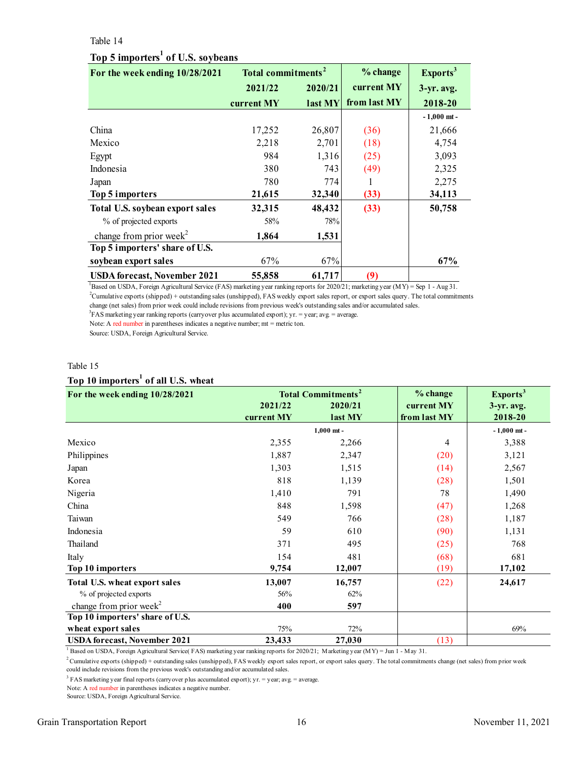#### Table 14

# **Top 5 importers<sup>1</sup> of U.S. soybeans**

<span id="page-15-0"></span>

| Table 14                                      |                                |         |              |                      |  |  |  |
|-----------------------------------------------|--------------------------------|---------|--------------|----------------------|--|--|--|
| Top 5 importers <sup>1</sup> of U.S. soybeans |                                |         |              |                      |  |  |  |
| For the week ending 10/28/2021                | Total commitments <sup>2</sup> |         | % change     | Exports <sup>3</sup> |  |  |  |
|                                               | 2021/22                        | 2020/21 | current MY   | $3-yr$ . avg.        |  |  |  |
|                                               | current MY                     | last MY | from last MY | 2018-20              |  |  |  |
|                                               |                                |         |              | $-1,000$ mt -        |  |  |  |
| China                                         | 17,252                         | 26,807  | (36)         | 21,666               |  |  |  |
| Mexico                                        | 2,218                          | 2,701   | (18)         | 4,754                |  |  |  |
| Egypt                                         | 984                            | 1,316   | (25)         | 3,093                |  |  |  |
| Indonesia                                     | 380                            | 743     | (49)         | 2,325                |  |  |  |
| Japan                                         | 780                            | 774     | 1            | 2,275                |  |  |  |
| Top 5 importers                               | 21,615                         | 32,340  | (33)         | 34,113               |  |  |  |
| Total U.S. soybean export sales               | 32,315                         | 48,432  | (33)         | 50,758               |  |  |  |
| % of projected exports                        | 58%                            | 78%     |              |                      |  |  |  |
| change from prior week <sup>2</sup>           | 1,864                          | 1,531   |              |                      |  |  |  |
| Top 5 importers' share of U.S.                |                                |         |              |                      |  |  |  |
| soybean export sales                          | 67%                            | 67%     |              | 67%                  |  |  |  |
| <b>USDA forecast, November 2021</b>           | 55,858                         | 61,717  | (9)          |                      |  |  |  |

<sup>1</sup>Based on USDA, Foreign Agricultural Service (FAS) marketing year ranking reports for 2020/21; marketing year (MY) = Sep 1 - Aug 31.  ${}^{3}$ FAS marketing year ranking reports (carryover plus accumulated export); yr. = year; avg. = average. <sup>2</sup>Cumulative exports (shipped) + outstanding sales (unshipped), FAS weekly export sales report, or export sales query. The total commitments change (net sales) from prior week could include revisions from previous week's outstanding sales and/or accumulated sales.

Note: A red number in parentheses indicates a negative number; mt = metric ton.

Source: USDA, Foreign Agricultural Service.

#### Table 15

# **Top 10 importers<sup>1</sup> of all U.S. wheat**

| Table 15                                        |                       |                                                            |                                        |                                               |  |  |  |
|-------------------------------------------------|-----------------------|------------------------------------------------------------|----------------------------------------|-----------------------------------------------|--|--|--|
| Top 10 importers <sup>1</sup> of all U.S. wheat |                       |                                                            |                                        |                                               |  |  |  |
| For the week ending 10/28/2021                  | 2021/22<br>current MY | <b>Total Commitments<sup>2</sup></b><br>2020/21<br>last MY | % change<br>current MY<br>from last MY | Exports <sup>3</sup><br>3-yr. avg.<br>2018-20 |  |  |  |
|                                                 |                       | $1,000$ mt -                                               |                                        | $-1,000$ mt -                                 |  |  |  |
| Mexico                                          | 2,355                 | 2,266                                                      | 4                                      | 3,388                                         |  |  |  |
| Philippines                                     | 1,887                 | 2,347                                                      | (20)                                   | 3,121                                         |  |  |  |
| Japan                                           | 1,303                 | 1,515                                                      | (14)                                   | 2,567                                         |  |  |  |
| Korea                                           | 818                   | 1,139                                                      | (28)                                   | 1,501                                         |  |  |  |
| Nigeria                                         | 1,410                 | 791                                                        | 78                                     | 1,490                                         |  |  |  |
| China                                           | 848                   | 1,598                                                      | (47)                                   | 1,268                                         |  |  |  |
| Taiwan                                          | 549                   | 766                                                        | (28)                                   | 1,187                                         |  |  |  |
| Indonesia                                       | 59                    | 610                                                        | (90)                                   | 1,131                                         |  |  |  |
| Thailand                                        | 371                   | 495                                                        | (25)                                   | 768                                           |  |  |  |
| Italy                                           | 154                   | 481                                                        | (68)                                   | 681                                           |  |  |  |
| Top 10 importers                                | 9,754                 | 12,007                                                     | (19)                                   | 17,102                                        |  |  |  |
| Total U.S. wheat export sales                   | 13,007                | 16,757                                                     | (22)                                   | 24,617                                        |  |  |  |
| % of projected exports                          | 56%                   | 62%                                                        |                                        |                                               |  |  |  |
| change from prior week <sup>2</sup>             | 400                   | 597                                                        |                                        |                                               |  |  |  |
| Top 10 importers' share of U.S.                 |                       |                                                            |                                        |                                               |  |  |  |
| wheat export sales                              | 75%                   | 72%                                                        |                                        | 69%                                           |  |  |  |
| <b>USDA</b> forecast, November 2021             | 23,433                | 27,030                                                     | (13)                                   |                                               |  |  |  |

<sup>1</sup> Based on USDA, Foreign Agricultural Service( FAS) marketing year ranking reports for 2020/21; Marketing year (MY) = Jun 1 - May 31.

 $2$ Cumulative exports (shipped) + outstanding sales (unshipped), FAS weekly export sales report, or export sales query. The total commitments change (net sales) from prior week could include revisions from the previous week's outstanding and/or accumulated sales.

<sup>3</sup> FAS marketing year final reports (carryover plus accumulated export); yr. = year; avg. = average.

Note: A red number in parentheses indicates a negative number.

Source: USDA, Foreign Agricultural Service.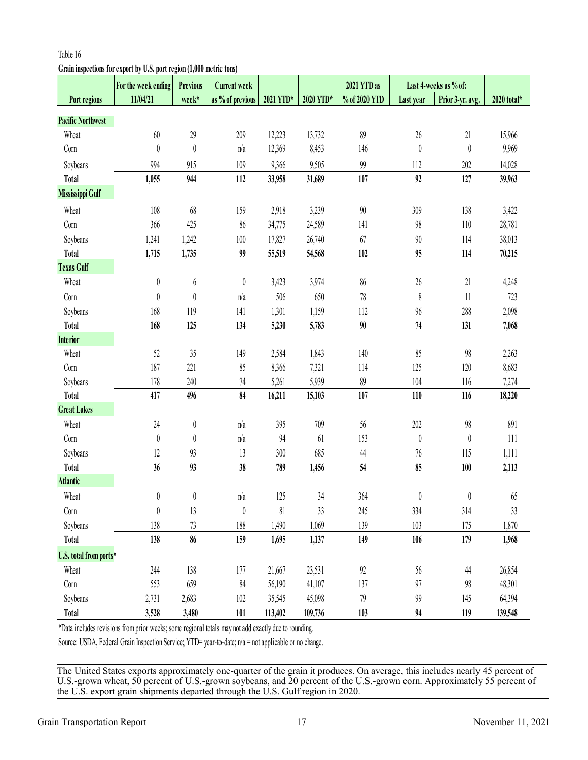# **Grain inspections for export by U.S. port region (1,000 metric tons)**

|                          | For the week ending                                                                                     | <b>Previous</b>  | <b>Current week</b> |           |           | 2021 YTD as   | Last 4-weeks as % of: |                  |             |
|--------------------------|---------------------------------------------------------------------------------------------------------|------------------|---------------------|-----------|-----------|---------------|-----------------------|------------------|-------------|
| Port regions             | 11/04/21                                                                                                | week*            | as % of previous    | 2021 YTD* | 2020 YTD* | % of 2020 YTD | Last year             | Prior 3-yr. avg. | 2020 total* |
| <b>Pacific Northwest</b> |                                                                                                         |                  |                     |           |           |               |                       |                  |             |
| Wheat                    | 60                                                                                                      | $29$             | 209                 | 12,223    | 13,732    | 89            | $26\,$                | 21               | 15,966      |
| Corn                     | $\boldsymbol{0}$                                                                                        | $\boldsymbol{0}$ | n/a                 | 12,369    | 8,453     | 146           | $\boldsymbol{0}$      | $\boldsymbol{0}$ | 9,969       |
| Soybeans                 | 994                                                                                                     | 915              | 109                 | 9,366     | 9,505     | 99            | 112                   | 202              | 14,028      |
| <b>Total</b>             | 1,055                                                                                                   | 944              | 112                 | 33,958    | 31,689    | 107           | 92                    | 127              | 39,963      |
| Mississippi Gulf         |                                                                                                         |                  |                     |           |           |               |                       |                  |             |
| Wheat                    | 108                                                                                                     | 68               | 159                 | 2,918     | 3,239     | $90\,$        | 309                   | 138              | 3,422       |
| Corn                     | 366                                                                                                     | 425              | 86                  | 34,775    | 24,589    | 141           | 98                    | 110              | 28,781      |
| Soybeans                 | 1,241                                                                                                   | 1,242            | 100                 | 17,827    | 26,740    | 67            | $90\,$                | 114              | 38,013      |
| <b>Total</b>             | 1,715                                                                                                   | 1,735            | 99                  | 55,519    | 54,568    | 102           | 95                    | 114              | 70,215      |
| <b>Texas Gulf</b>        |                                                                                                         |                  |                     |           |           |               |                       |                  |             |
| Wheat                    | $\boldsymbol{0}$                                                                                        | 6                | $\boldsymbol{0}$    | 3,423     | 3,974     | 86            | $26\,$                | 21               | 4,248       |
| Corn                     | $\boldsymbol{0}$                                                                                        | $\boldsymbol{0}$ | n/a                 | 506       | 650       | $78\,$        | $\,$                  | 11               | 723         |
| Soybeans                 | 168                                                                                                     | 119              | 141                 | 1,301     | 1,159     | 112           | 96                    | 288              | 2,098       |
| <b>Total</b>             | 168                                                                                                     | 125              | 134                 | 5,230     | 5,783     | 90            | 74                    | 131              | 7,068       |
| <b>Interior</b>          |                                                                                                         |                  |                     |           |           |               |                       |                  |             |
| Wheat                    | 52                                                                                                      | 35               | 149                 | 2,584     | 1,843     | 140           | 85                    | 98               | 2,263       |
| Corn                     | 187                                                                                                     | 221              | 85                  | 8,366     | 7,321     | 114           | 125                   | 120              | 8,683       |
| Soybeans                 | 178                                                                                                     | 240              | 74                  | 5,261     | 5,939     | $89$          | 104                   | 116              | 7,274       |
| <b>Total</b>             | 417                                                                                                     | 496              | 84                  | 16,211    | 15,103    | 107           | 110                   | 116              | 18,220      |
| <b>Great Lakes</b>       |                                                                                                         |                  |                     |           |           |               |                       |                  |             |
| Wheat                    | 24                                                                                                      | $\boldsymbol{0}$ | n/a                 | 395       | 709       | 56            | 202                   | 98               | 891         |
| Corn                     | $\boldsymbol{0}$                                                                                        | $\boldsymbol{0}$ | n/a                 | 94        | 61        | 153           | $\boldsymbol{0}$      | $\boldsymbol{0}$ | 111         |
| Soybeans                 | 12                                                                                                      | 93               | 13                  | 300       | 685       | 44            | 76                    | 115              | 1,111       |
| <b>Total</b>             | 36                                                                                                      | 93               | 38                  | 789       | 1,456     | 54            | 85                    | 100              | 2,113       |
| <b>Atlantic</b>          |                                                                                                         |                  |                     |           |           |               |                       |                  |             |
| Wheat                    | $\boldsymbol{0}$                                                                                        | $\boldsymbol{0}$ | n/a                 | 125       | 34        | 364           | $\boldsymbol{0}$      | $\boldsymbol{0}$ | 65          |
| Corn                     | $\boldsymbol{0}$                                                                                        | 13               | 0                   | 81        | 33        | 245           | 334                   | 314              | 33          |
| Soybeans                 | 138                                                                                                     | 73               | 188                 | 1,490     | 1,069     | 139           | 103                   | 175              | 1,870       |
| Total                    | 138                                                                                                     | 86               | 159                 | 1,695     | 1,137     | 149           | 106                   | 179              | 1,968       |
| U.S. total from ports*   |                                                                                                         |                  |                     |           |           |               |                       |                  |             |
| Wheat                    | 244                                                                                                     | 138              | 177                 | 21,667    | 23,531    | 92            | 56                    | 44               | 26,854      |
| Corn                     | 553                                                                                                     | 659              | 84                  | 56,190    | 41,107    | 137           | 97                    | 98               | 48,301      |
| Soybeans                 | 2,731                                                                                                   | 2,683            | 102                 | 35,545    | 45,098    | 79            | 99                    | 145              | 64,394      |
| <b>Total</b>             | 3,528                                                                                                   | 3,480            | 101                 | 113,402   | 109,736   | 103           | 94                    | 119              | 139,548     |
|                          | *Data includes revisions from prior weeks; some regional totals may not add exactly due to rounding.    |                  |                     |           |           |               |                       |                  |             |
|                          | Source: USDA, Federal Grain Inspection Service; YTD= year-to-date; $n/a$ = not applicable or no change. |                  |                     |           |           |               |                       |                  |             |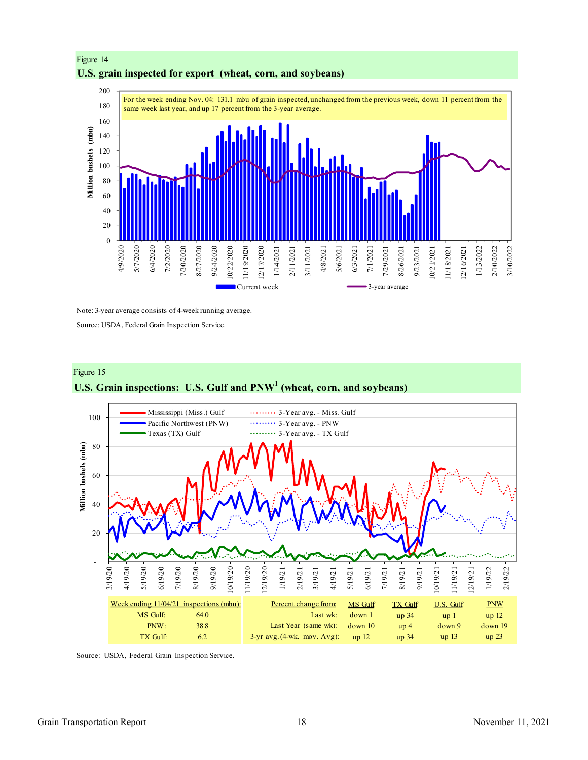

# Figure 14 **U.S. grain inspected for export (wheat, corn, and soybeans)**

Note: 3-year average consists of 4-week running average.

Source: USDA, Federal Grain Inspection Service.





Source: USDA, Federal Grain Inspection Service.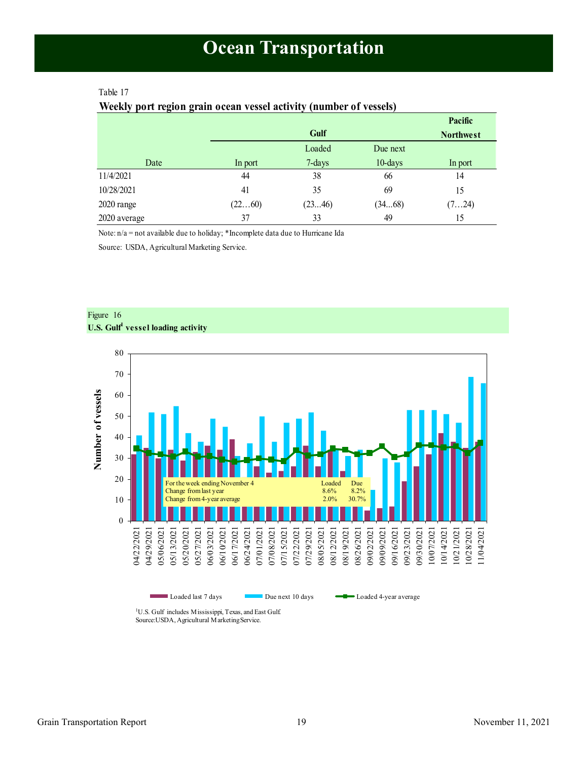# <span id="page-18-1"></span><span id="page-18-0"></span>Table 17

### **Weekly port region grain ocean vessel activity (number of vessels)**

|              |         |        |            | Pacific          |
|--------------|---------|--------|------------|------------------|
|              |         | Gulf   |            | <b>Northwest</b> |
|              |         | Loaded | Due next   |                  |
| Date         | In port | 7-days | $10$ -days | In port          |
| 11/4/2021    | 44      | 38     | 66         | 14               |
| 10/28/2021   | 41      | 35     | 69         | 15               |
| 2020 range   | (2260)  | (2346) | (3468)     | (724)            |
| 2020 average | 37      | 33     | 49         | 15               |

Note: n/a = not available due to holiday; \*Incomplete data due to Hurricane Ida

Source: USDA, Agricultural Marketing Service.





Loaded last 7 days Due next 10 days **CO** Loaded 4-year average

<sup>1</sup>U.S. Gulf includes Mississippi, Texas, and East Gulf. Source:USDA, Agricultural Marketing Service.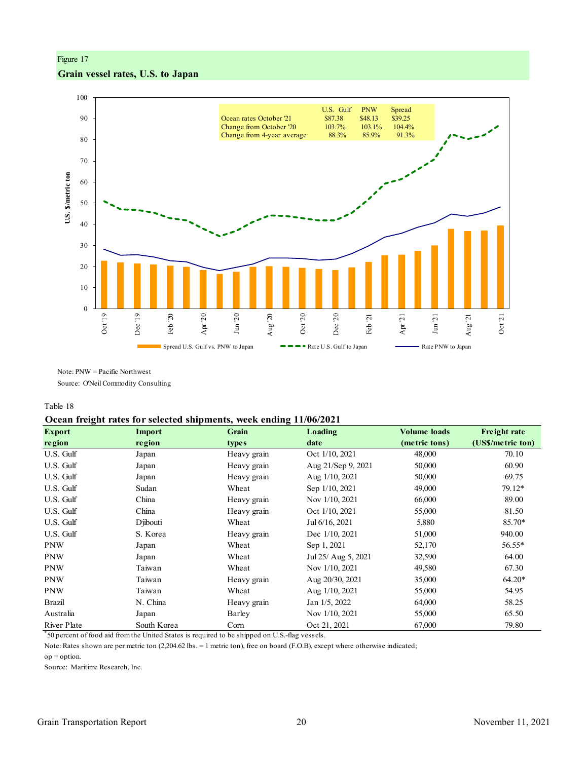### Figure 17

# **Grain vessel rates, U.S. to Japan**



Note: PNW = Pacific Northwest

Source: O'Neil Commodity Consulting

Table 18

#### **Ocean freight rates for selected shipments, week ending 11/06/2021**

| $\overline{\phantom{a}}$<br><b>Export</b> | <b>Import</b> | <b>Grain</b> | Loading             | <b>Volume loads</b> | <b>Freight rate</b> |
|-------------------------------------------|---------------|--------------|---------------------|---------------------|---------------------|
| region                                    | region        | <b>types</b> | date                | (metric tons)       | (US\$/metric ton)   |
| U.S. Gulf                                 | Japan         | Heavy grain  | Oct 1/10, 2021      | 48,000              | 70.10               |
| U.S. Gulf                                 | Japan         | Heavy grain  | Aug 21/Sep 9, 2021  | 50,000              | 60.90               |
| U.S. Gulf                                 | Japan         | Heavy grain  | Aug $1/10$ , 2021   | 50,000              | 69.75               |
| U.S. Gulf                                 | Sudan         | Wheat        | Sep 1/10, 2021      | 49,000              | 79.12*              |
| U.S. Gulf                                 | China         | Heavy grain  | Nov 1/10, 2021      | 66,000              | 89.00               |
| U.S. Gulf                                 | China         | Heavy grain  | Oct 1/10, 2021      | 55,000              | 81.50               |
| U.S. Gulf                                 | Djibouti      | Wheat        | Jul 6/16, 2021      | 5,880               | 85.70*              |
| U.S. Gulf                                 | S. Korea      | Heavy grain  | Dec 1/10, 2021      | 51,000              | 940.00              |
| <b>PNW</b>                                | Japan         | Wheat        | Sep 1, 2021         | 52,170              | 56.55*              |
| <b>PNW</b>                                | Japan         | Wheat        | Jul 25/ Aug 5, 2021 | 32,590              | 64.00               |
| <b>PNW</b>                                | Taiwan        | Wheat        | Nov 1/10, 2021      | 49,580              | 67.30               |
| <b>PNW</b>                                | Taiwan        | Heavy grain  | Aug 20/30, 2021     | 35,000              | $64.20*$            |
| <b>PNW</b>                                | Taiwan        | Wheat        | Aug 1/10, 2021      | 55,000              | 54.95               |
| <b>Brazil</b>                             | N. China      | Heavy grain  | Jan 1/5, 2022       | 64,000              | 58.25               |
| Australia                                 | Japan         | Barley       | Nov 1/10, 2021      | 55,000              | 65.50               |
| River Plate                               | South Korea   | Corn         | Oct 21, 2021        | 67,000              | 79.80               |

\* 50 percent of food aid from the United States is required to be shipped on U.S.-flag vessels.

 $op = option.$ Note: Rates shown are per metric ton (2,204.62 lbs. = 1 metric ton), free on board (F.O.B), except where otherwise indicated;

Source: Maritime Research, Inc.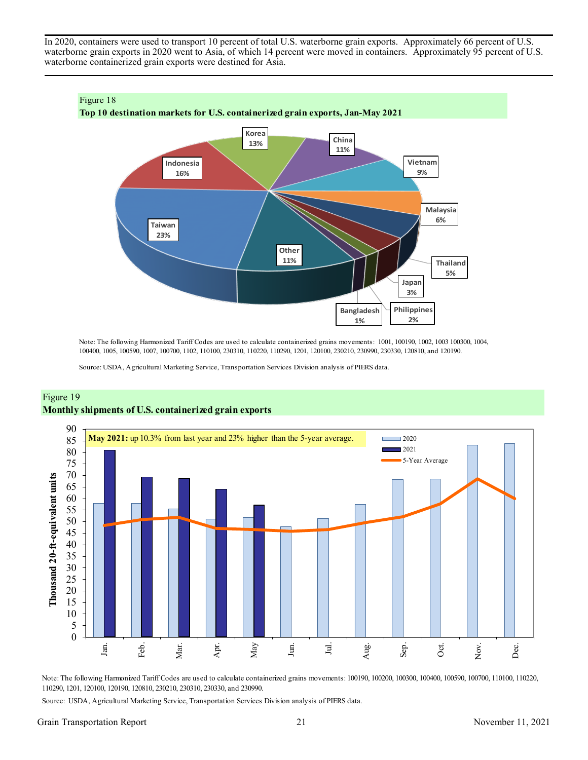In 2020, containers were used to transport 10 percent of total U.S. waterborne grain exports. Approximately 66 percent of U.S. waterborne grain exports in 2020 went to Asia, of which 14 percent were moved in containers. Approximately 95 percent of U.S. waterborne containerized grain exports were destined for Asia.



Note: The following Harmonized Tariff Codes are used to calculate containerized grains movements: 1001, 100190, 1002, 1003 100300, 1004, 100400, 1005, 100590, 1007, 100700, 1102, 110100, 230310, 110220, 110290, 1201, 120100, 230210, 230990, 230330, 120810, and 120190.

Source: USDA, Agricultural Marketing Service, Transportation Services Division analysis of PIERS data.



# Figure 19 **Monthly shipments of U.S. containerized grain exports**

Note: The following Harmonized Tariff Codes are used to calculate containerized grains movements: 100190, 100200, 100300, 100400, 100590, 100700, 110100, 110220, 110290, 1201, 120100, 120190, 120810, 230210, 230310, 230330, and 230990.

Source: USDA, Agricultural Marketing Service, Transportation Services Division analysis of PIERS data.

### Grain Transportation Report 21 2021